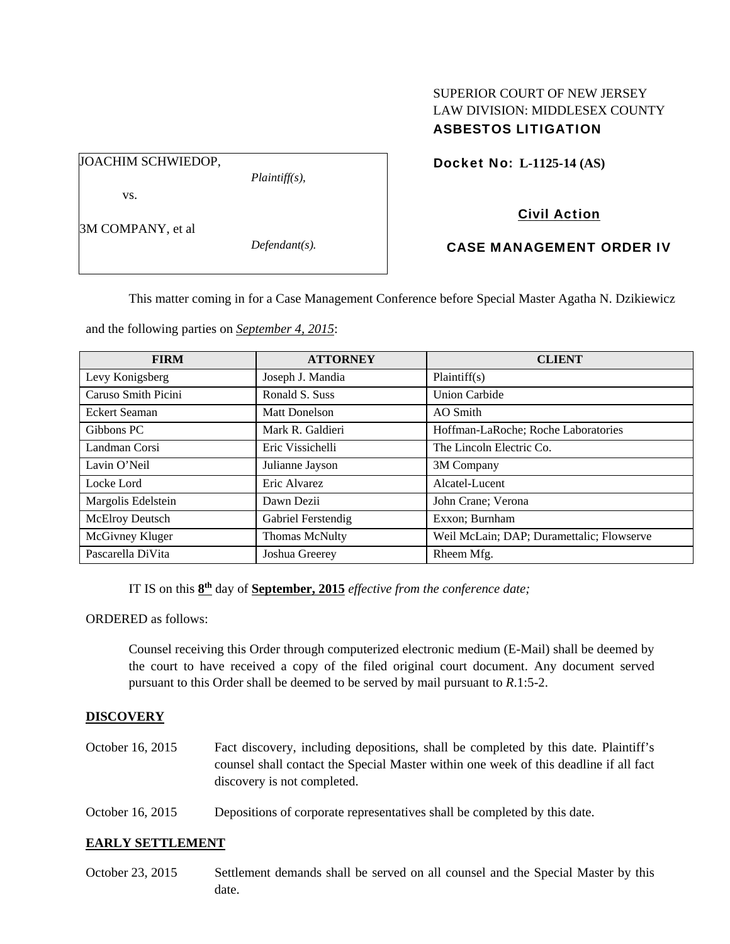## SUPERIOR COURT OF NEW JERSEY LAW DIVISION: MIDDLESEX COUNTY ASBESTOS LITIGATION

JOACHIM SCHWIEDOP,

*Plaintiff(s),* 

Docket No: **L-1125-14 (AS)** 

# vs.

3M COMPANY, et al

*Defendant(s).* 

# Civil Action

# CASE MANAGEMENT ORDER IV

This matter coming in for a Case Management Conference before Special Master Agatha N. Dzikiewicz

and the following parties on *September 4, 2015*:

| <b>FIRM</b>          | <b>ATTORNEY</b>       | <b>CLIENT</b>                             |
|----------------------|-----------------------|-------------------------------------------|
| Levy Konigsberg      | Joseph J. Mandia      | Plaintiff(s)                              |
| Caruso Smith Picini  | Ronald S. Suss        | <b>Union Carbide</b>                      |
| <b>Eckert Seaman</b> | Matt Donelson         | AO Smith                                  |
| Gibbons PC           | Mark R. Galdieri      | Hoffman-LaRoche; Roche Laboratories       |
| Landman Corsi        | Eric Vissichelli      | The Lincoln Electric Co.                  |
| Lavin O'Neil         | Julianne Jayson       | 3M Company                                |
| Locke Lord           | Eric Alvarez          | Alcatel-Lucent                            |
| Margolis Edelstein   | Dawn Dezii            | John Crane; Verona                        |
| McElroy Deutsch      | Gabriel Ferstendig    | Exxon; Burnham                            |
| McGivney Kluger      | <b>Thomas McNulty</b> | Weil McLain; DAP; Duramettalic; Flowserve |
| Pascarella DiVita    | Joshua Greerey        | Rheem Mfg.                                |

IT IS on this **8th** day of **September, 2015** *effective from the conference date;*

ORDERED as follows:

Counsel receiving this Order through computerized electronic medium (E-Mail) shall be deemed by the court to have received a copy of the filed original court document. Any document served pursuant to this Order shall be deemed to be served by mail pursuant to *R*.1:5-2.

# **DISCOVERY**

- October 16, 2015 Fact discovery, including depositions, shall be completed by this date. Plaintiff's counsel shall contact the Special Master within one week of this deadline if all fact discovery is not completed.
- October 16, 2015 Depositions of corporate representatives shall be completed by this date.

## **EARLY SETTLEMENT**

October 23, 2015 Settlement demands shall be served on all counsel and the Special Master by this date.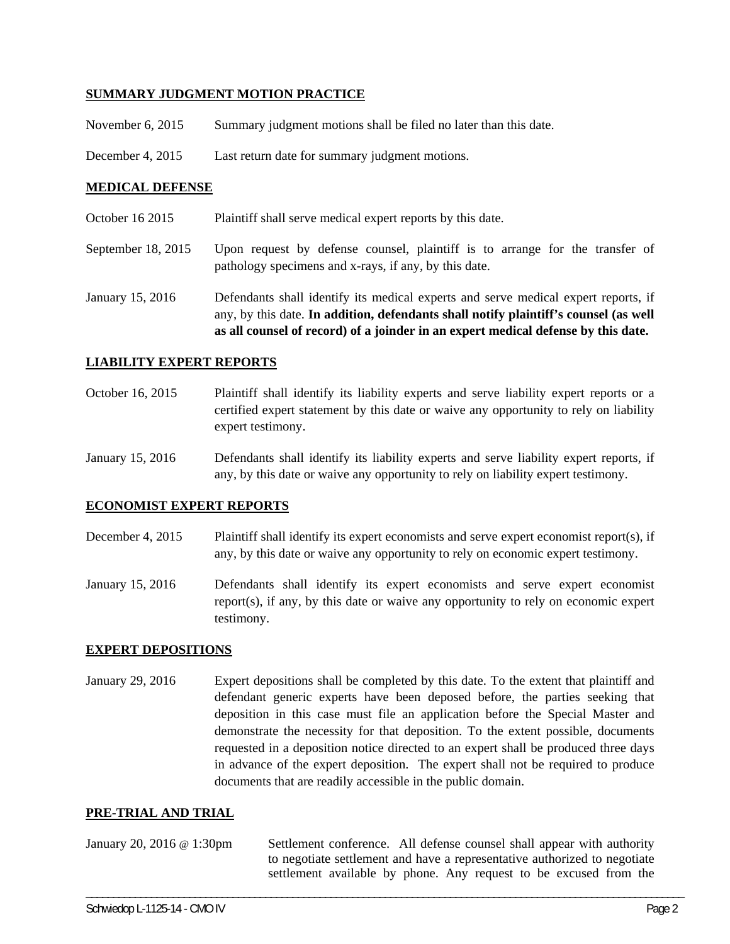### **SUMMARY JUDGMENT MOTION PRACTICE**

November 6, 2015 Summary judgment motions shall be filed no later than this date.

December 4, 2015 Last return date for summary judgment motions.

### **MEDICAL DEFENSE**

- October 16 2015 Plaintiff shall serve medical expert reports by this date.
- September 18, 2015 Upon request by defense counsel, plaintiff is to arrange for the transfer of pathology specimens and x-rays, if any, by this date.
- January 15, 2016 Defendants shall identify its medical experts and serve medical expert reports, if any, by this date. **In addition, defendants shall notify plaintiff's counsel (as well as all counsel of record) of a joinder in an expert medical defense by this date.**

#### **LIABILITY EXPERT REPORTS**

- October 16, 2015 Plaintiff shall identify its liability experts and serve liability expert reports or a certified expert statement by this date or waive any opportunity to rely on liability expert testimony.
- January 15, 2016 Defendants shall identify its liability experts and serve liability expert reports, if any, by this date or waive any opportunity to rely on liability expert testimony.

### **ECONOMIST EXPERT REPORTS**

- December 4, 2015 Plaintiff shall identify its expert economists and serve expert economist report(s), if any, by this date or waive any opportunity to rely on economic expert testimony.
- January 15, 2016 Defendants shall identify its expert economists and serve expert economist report(s), if any, by this date or waive any opportunity to rely on economic expert testimony.

### **EXPERT DEPOSITIONS**

January 29, 2016 Expert depositions shall be completed by this date. To the extent that plaintiff and defendant generic experts have been deposed before, the parties seeking that deposition in this case must file an application before the Special Master and demonstrate the necessity for that deposition. To the extent possible, documents requested in a deposition notice directed to an expert shall be produced three days in advance of the expert deposition. The expert shall not be required to produce documents that are readily accessible in the public domain.

### **PRE-TRIAL AND TRIAL**

January 20, 2016 @ 1:30pm Settlement conference. All defense counsel shall appear with authority to negotiate settlement and have a representative authorized to negotiate settlement available by phone. Any request to be excused from the

\_\_\_\_\_\_\_\_\_\_\_\_\_\_\_\_\_\_\_\_\_\_\_\_\_\_\_\_\_\_\_\_\_\_\_\_\_\_\_\_\_\_\_\_\_\_\_\_\_\_\_\_\_\_\_\_\_\_\_\_\_\_\_\_\_\_\_\_\_\_\_\_\_\_\_\_\_\_\_\_\_\_\_\_\_\_\_\_\_\_\_\_\_\_\_\_\_\_\_\_\_\_\_\_\_\_\_\_\_\_